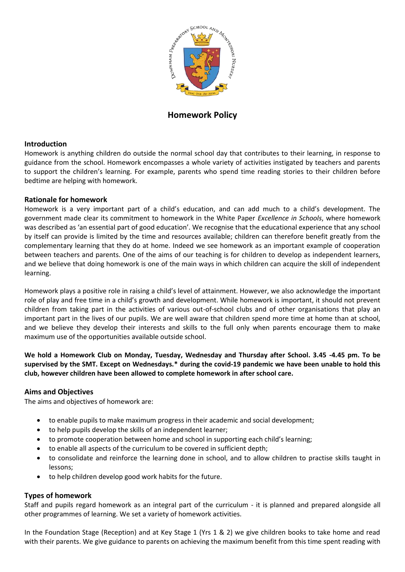

# **Homework Policy**

### **Introduction**

Homework is anything children do outside the normal school day that contributes to their learning, in response to guidance from the school. Homework encompasses a whole variety of activities instigated by teachers and parents to support the children's learning. For example, parents who spend time reading stories to their children before bedtime are helping with homework.

## **Rationale for homework**

Homework is a very important part of a child's education, and can add much to a child's development. The government made clear its commitment to homework in the White Paper *Excellence in Schools*, where homework was described as 'an essential part of good education'. We recognise that the educational experience that any school by itself can provide is limited by the time and resources available; children can therefore benefit greatly from the complementary learning that they do at home. Indeed we see homework as an important example of cooperation between teachers and parents. One of the aims of our teaching is for children to develop as independent learners, and we believe that doing homework is one of the main ways in which children can acquire the skill of independent learning.

Homework plays a positive role in raising a child's level of attainment. However, we also acknowledge the important role of play and free time in a child's growth and development. While homework is important, it should not prevent children from taking part in the activities of various out-of-school clubs and of other organisations that play an important part in the lives of our pupils. We are well aware that children spend more time at home than at school, and we believe they develop their interests and skills to the full only when parents encourage them to make maximum use of the opportunities available outside school.

**We hold a Homework Club on Monday, Tuesday, Wednesday and Thursday after School. 3.45 -4.45 pm. To be supervised by the SMT. Except on Wednesdays.\* during the covid-19 pandemic we have been unable to hold this club, however children have been allowed to complete homework in after school care.** 

### **Aims and Objectives**

The aims and objectives of homework are:

- to enable pupils to make maximum progress in their academic and social development;
- to help pupils develop the skills of an independent learner;
- to promote cooperation between home and school in supporting each child's learning;
- to enable all aspects of the curriculum to be covered in sufficient depth;
- to consolidate and reinforce the learning done in school, and to allow children to practise skills taught in lessons;
- to help children develop good work habits for the future.

## **Types of homework**

Staff and pupils regard homework as an integral part of the curriculum - it is planned and prepared alongside all other programmes of learning. We set a variety of homework activities.

In the Foundation Stage (Reception) and at Key Stage 1 (Yrs 1 & 2) we give children books to take home and read with their parents. We give guidance to parents on achieving the maximum benefit from this time spent reading with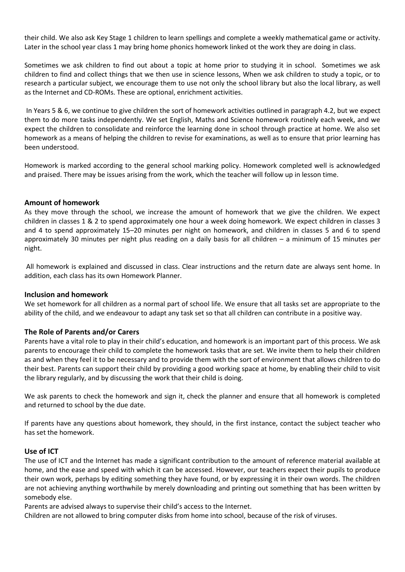their child. We also ask Key Stage 1 children to learn spellings and complete a weekly mathematical game or activity. Later in the school year class 1 may bring home phonics homework linked ot the work they are doing in class.

Sometimes we ask children to find out about a topic at home prior to studying it in school. Sometimes we ask children to find and collect things that we then use in science lessons, When we ask children to study a topic, or to research a particular subject, we encourage them to use not only the school library but also the local library, as well as the Internet and CD-ROMs. These are optional, enrichment activities.

In Years 5 & 6, we continue to give children the sort of homework activities outlined in paragraph 4.2, but we expect them to do more tasks independently. We set English, Maths and Science homework routinely each week, and we expect the children to consolidate and reinforce the learning done in school through practice at home. We also set homework as a means of helping the children to revise for examinations, as well as to ensure that prior learning has been understood.

Homework is marked according to the general school marking policy. Homework completed well is acknowledged and praised. There may be issues arising from the work, which the teacher will follow up in lesson time.

### **Amount of homework**

As they move through the school, we increase the amount of homework that we give the children. We expect children in classes 1 & 2 to spend approximately one hour a week doing homework. We expect children in classes 3 and 4 to spend approximately 15–20 minutes per night on homework, and children in classes 5 and 6 to spend approximately 30 minutes per night plus reading on a daily basis for all children – a minimum of 15 minutes per night.

All homework is explained and discussed in class. Clear instructions and the return date are always sent home. In addition, each class has its own Homework Planner.

#### **Inclusion and homework**

We set homework for all children as a normal part of school life. We ensure that all tasks set are appropriate to the ability of the child, and we endeavour to adapt any task set so that all children can contribute in a positive way.

#### **The Role of Parents and/or Carers**

Parents have a vital role to play in their child's education, and homework is an important part of this process. We ask parents to encourage their child to complete the homework tasks that are set. We invite them to help their children as and when they feel it to be necessary and to provide them with the sort of environment that allows children to do their best. Parents can support their child by providing a good working space at home, by enabling their child to visit the library regularly, and by discussing the work that their child is doing.

We ask parents to check the homework and sign it, check the planner and ensure that all homework is completed and returned to school by the due date.

If parents have any questions about homework, they should, in the first instance, contact the subject teacher who has set the homework.

#### **Use of ICT**

The use of ICT and the Internet has made a significant contribution to the amount of reference material available at home, and the ease and speed with which it can be accessed. However, our teachers expect their pupils to produce their own work, perhaps by editing something they have found, or by expressing it in their own words. The children are not achieving anything worthwhile by merely downloading and printing out something that has been written by somebody else.

Parents are advised always to supervise their child's access to the Internet.

Children are not allowed to bring computer disks from home into school, because of the risk of viruses.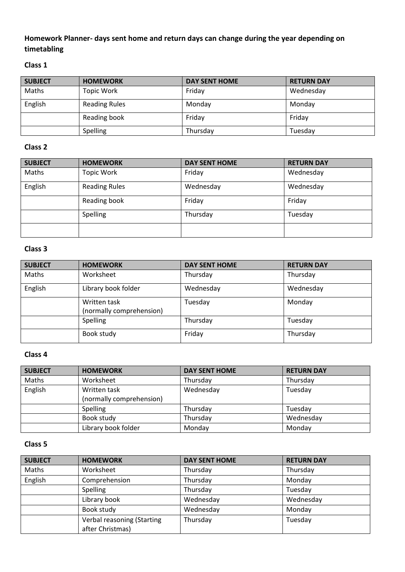# **Homework Planner- days sent home and return days can change during the year depending on timetabling**

# **Class 1**

| <b>SUBJECT</b> | <b>HOMEWORK</b>      | <b>DAY SENT HOME</b> | <b>RETURN DAY</b> |
|----------------|----------------------|----------------------|-------------------|
| Maths          | <b>Topic Work</b>    | Friday               | Wednesday         |
| English        | <b>Reading Rules</b> | Monday               | Monday            |
|                | Reading book         | Friday               | Friday            |
|                | <b>Spelling</b>      | Thursday             | Tuesday           |

# **Class 2**

| <b>SUBJECT</b> | <b>HOMEWORK</b>      | <b>DAY SENT HOME</b> | <b>RETURN DAY</b> |
|----------------|----------------------|----------------------|-------------------|
| Maths          | <b>Topic Work</b>    | Friday               | Wednesday         |
| English        | <b>Reading Rules</b> | Wednesday            | Wednesday         |
|                | Reading book         | Friday               | Friday            |
|                | Spelling             | Thursday             | Tuesday           |
|                |                      |                      |                   |

## **Class 3**

| <b>SUBJECT</b> | <b>HOMEWORK</b>                          | <b>DAY SENT HOME</b> | <b>RETURN DAY</b> |
|----------------|------------------------------------------|----------------------|-------------------|
| Maths          | Worksheet                                | Thursday             | Thursday          |
| English        | Library book folder                      | Wednesday            | Wednesday         |
|                | Written task<br>(normally comprehension) | Tuesday              | Monday            |
|                | <b>Spelling</b>                          | Thursday             | Tuesday           |
|                | Book study                               | Friday               | Thursday          |

# **Class 4**

| <b>SUBJECT</b> | <b>HOMEWORK</b>          | <b>DAY SENT HOME</b> | <b>RETURN DAY</b> |
|----------------|--------------------------|----------------------|-------------------|
| Maths          | Worksheet                | Thursday             | Thursday          |
| English        | Written task             | Wednesday            | Tuesday           |
|                | (normally comprehension) |                      |                   |
|                | <b>Spelling</b>          | Thursday             | Tuesday           |
|                | Book study               | Thursday             | Wednesday         |
|                | Library book folder      | Monday               | Monday            |

# **Class 5**

| <b>SUBJECT</b> | <b>HOMEWORK</b>            | <b>DAY SENT HOME</b> | <b>RETURN DAY</b> |
|----------------|----------------------------|----------------------|-------------------|
| Maths          | Worksheet                  | Thursday             | Thursday          |
| English        | Comprehension              | Thursday             | Monday            |
|                | Spelling                   | Thursday             | Tuesday           |
|                | Library book               | Wednesday            | Wednesday         |
|                | Book study                 | Wednesday            | Monday            |
|                | Verbal reasoning (Starting | Thursday             | Tuesday           |
|                | after Christmas)           |                      |                   |